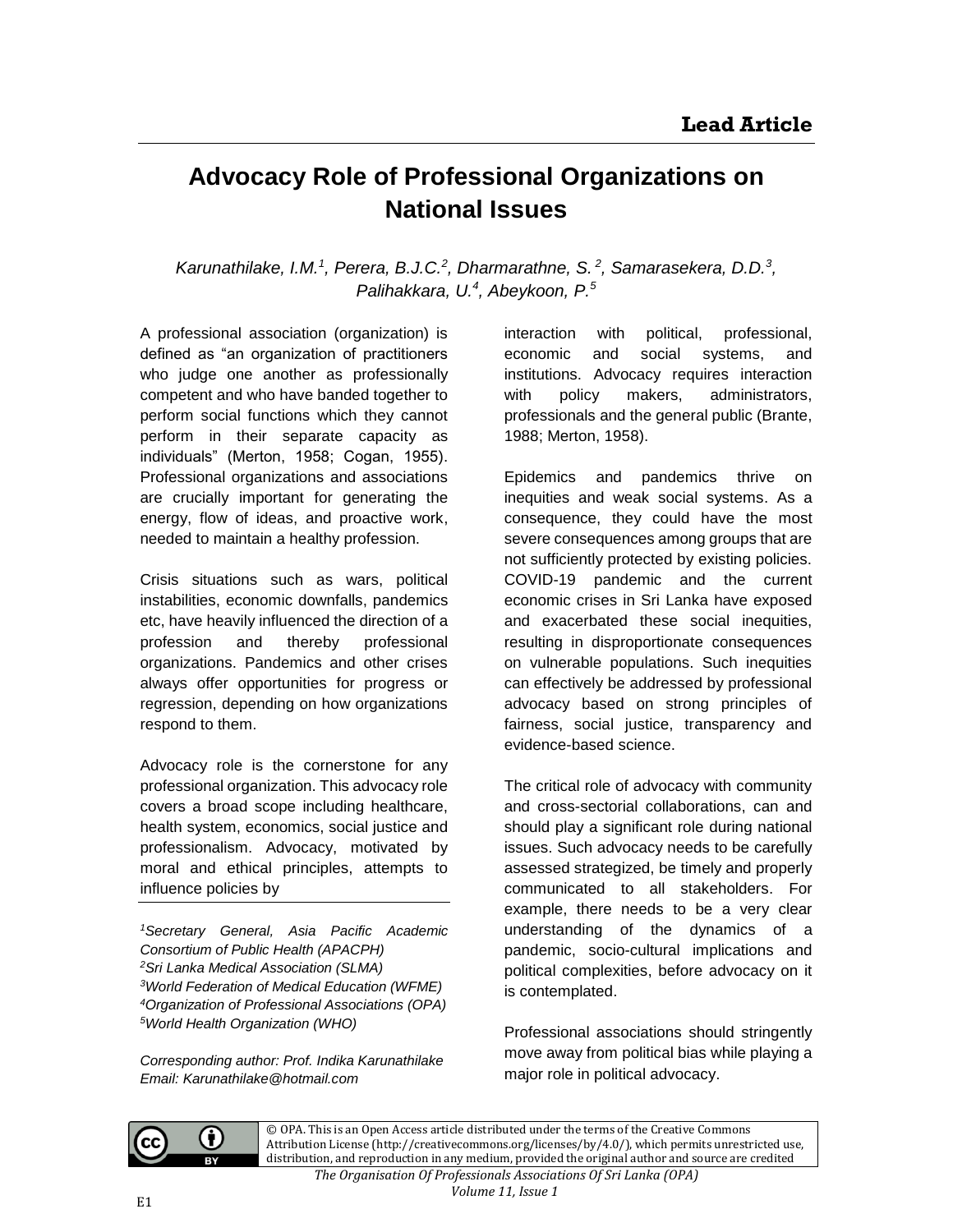## **Advocacy Role of Professional Organizations on National Issues**

Karunathilake, I.M.<sup>1</sup>, Perera, B.J.C.<sup>2</sup>, Dharmarathne, S.<sup>2</sup>, Samarasekera, D.D.<sup>3</sup>, *Palihakkara, U. 4 , Abeykoon, P.<sup>5</sup>*

A professional association (organization) is defined as "an organization of practitioners who judge one another as professionally competent and who have banded together to perform social functions which they cannot perform in their separate capacity as individuals" (Merton, 1958; Cogan, 1955). Professional organizations and associations are crucially important for generating the energy, flow of ideas, and proactive work, needed to maintain a healthy profession.

Crisis situations such as wars, political instabilities, economic downfalls, pandemics etc, have heavily influenced the direction of a profession and thereby professional organizations. Pandemics and other crises always offer opportunities for progress or regression, depending on how organizations respond to them.

Advocacy role is the cornerstone for any professional organization. This advocacy role covers a broad scope including healthcare, health system, economics, social justice and professionalism. Advocacy, motivated by moral and ethical principles, attempts to influence policies by

*Secretary General, Asia Pacific Academic Consortium of Public Health (APACPH) Sri Lanka Medical Association (SLMA) World Federation of Medical Education (WFME) Organization of Professional Associations (OPA) World Health Organization (WHO)*

*Corresponding author: Prof. Indika Karunathilake Email: Karunathilake@hotmail.com*

interaction with political, professional, economic and social systems, and institutions. Advocacy requires interaction with policy makers, administrators, professionals and the general public (Brante, 1988; Merton, 1958).

Epidemics and pandemics thrive on inequities and weak social systems. As a consequence, they could have the most severe consequences among groups that are not sufficiently protected by existing policies. COVID-19 pandemic and the current economic crises in Sri Lanka have exposed and exacerbated these social inequities, resulting in disproportionate consequences on vulnerable populations. Such inequities can effectively be addressed by professional advocacy based on strong principles of fairness, social justice, transparency and evidence-based science.

The critical role of advocacy with community and cross-sectorial collaborations, can and should play a significant role during national issues. Such advocacy needs to be carefully assessed strategized, be timely and properly communicated to all stakeholders. For example, there needs to be a very clear understanding of the dynamics of a pandemic, socio-cultural implications and political complexities, before advocacy on it is contemplated.

Professional associations should stringently move away from political bias while playing a major role in political advocacy.



G)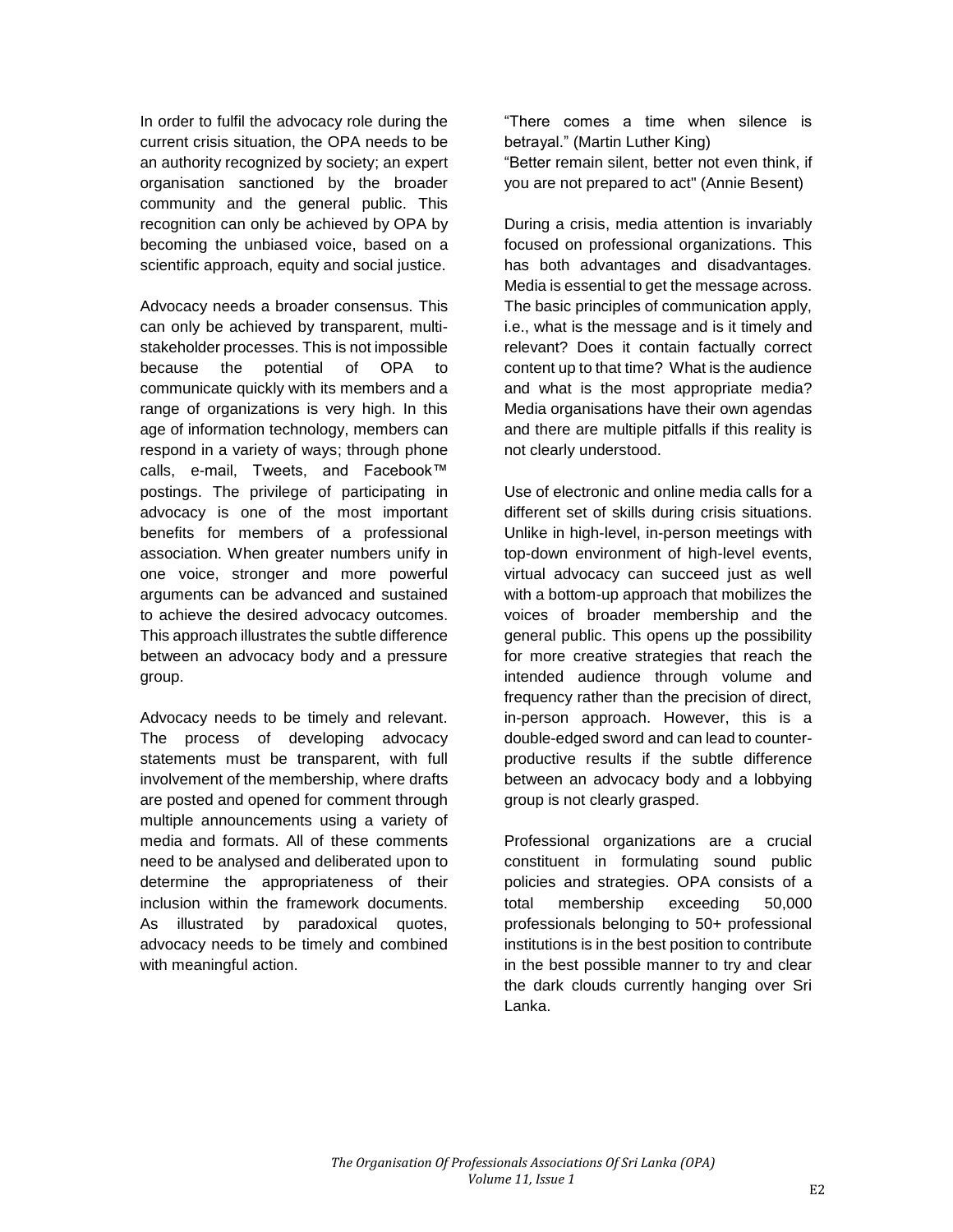In order to fulfil the advocacy role during the current crisis situation, the OPA needs to be an authority recognized by society; an expert organisation sanctioned by the broader community and the general public. This recognition can only be achieved by OPA by becoming the unbiased voice, based on a scientific approach, equity and social justice.

Advocacy needs a broader consensus. This can only be achieved by transparent, multistakeholder processes. This is not impossible because the potential of OPA to communicate quickly with its members and a range of organizations is very high. In this age of information technology, members can respond in a variety of ways; through phone calls, e-mail, Tweets, and Facebook™ postings. The privilege of participating in advocacy is one of the most important benefits for members of a professional association. When greater numbers unify in one voice, stronger and more powerful arguments can be advanced and sustained to achieve the desired advocacy outcomes. This approach illustrates the subtle difference between an advocacy body and a pressure group.

Advocacy needs to be timely and relevant. The process of developing advocacy statements must be transparent, with full involvement of the membership, where drafts are posted and opened for comment through multiple announcements using a variety of media and formats. All of these comments need to be analysed and deliberated upon to determine the appropriateness of their inclusion within the framework documents. As illustrated by paradoxical quotes, advocacy needs to be timely and combined with meaningful action.

"There comes a time when silence is betrayal." (Martin Luther King) "Better remain silent, better not even think, if you are not prepared to act" (Annie Besent)

During a crisis, media attention is invariably focused on professional organizations. This has both advantages and disadvantages. Media is essential to get the message across. The basic principles of communication apply, i.e., what is the message and is it timely and relevant? Does it contain factually correct content up to that time? What is the audience and what is the most appropriate media? Media organisations have their own agendas and there are multiple pitfalls if this reality is not clearly understood.

Use of electronic and online media calls for a different set of skills during crisis situations. Unlike in high-level, in-person meetings with top-down environment of high-level events, virtual advocacy can succeed just as well with a bottom-up approach that mobilizes the voices of broader membership and the general public. This opens up the possibility for more creative strategies that reach the intended audience through volume and frequency rather than the precision of direct, in-person approach. However, this is a double-edged sword and can lead to counterproductive results if the subtle difference between an advocacy body and a lobbying group is not clearly grasped.

Professional organizations are a crucial constituent in formulating sound public policies and strategies. OPA consists of a total membership exceeding 50,000 professionals belonging to 50+ professional institutions is in the best position to contribute in the best possible manner to try and clear the dark clouds currently hanging over Sri Lanka.